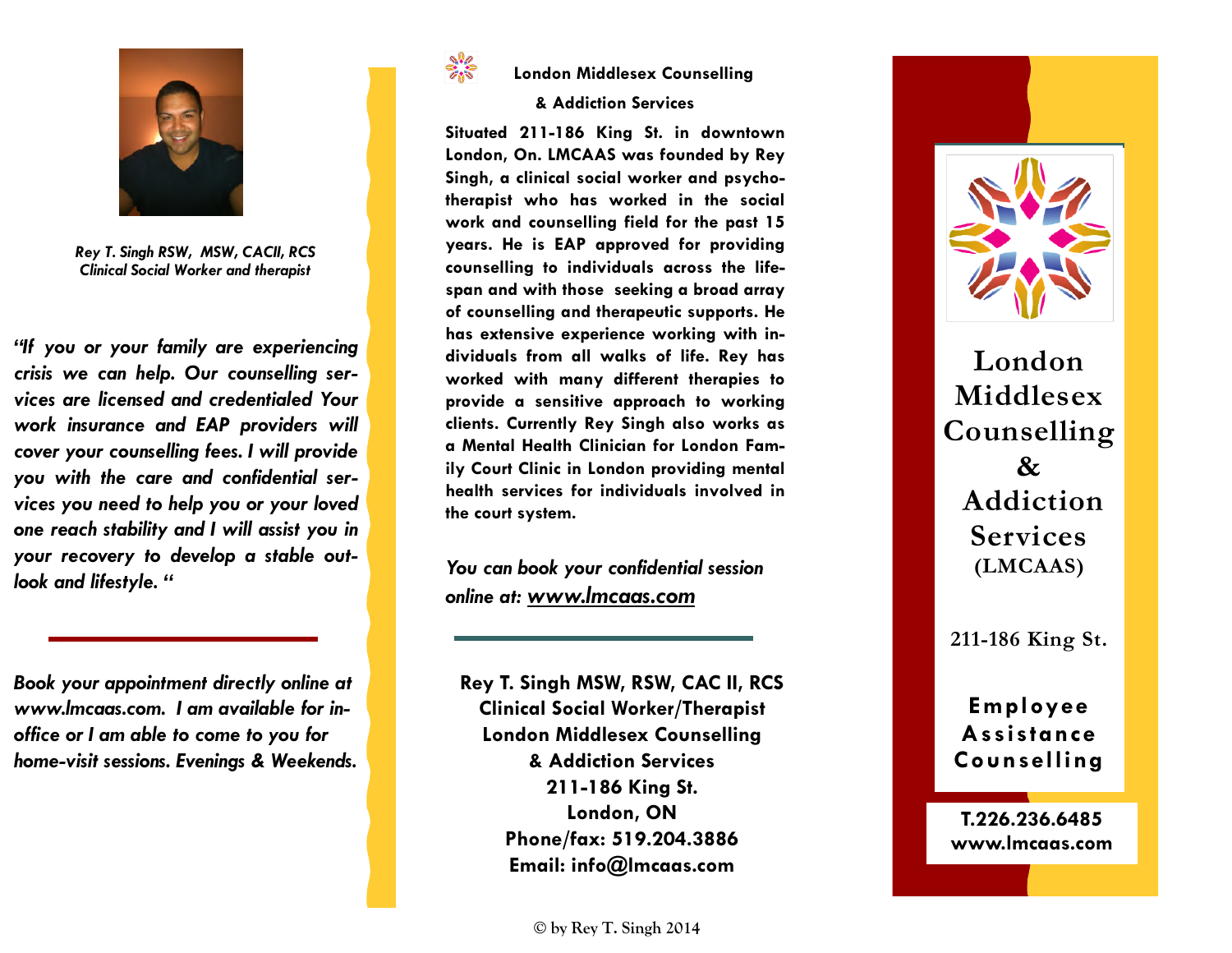

*Rey T. Singh RSW, MSW, CACII, RCS Clinical Social Worker and therapist* 

*"If you or your family are experiencing crisis we can help. Our counselling services are licensed and credentialed Your work insurance and EAP providers will cover your counselling fees. I will provide you with the care and confidential services you need to help you or your loved one reach stability and I will assist you in your recovery to develop a stable outlook and lifestyle. "* 

*Book your appointment directly online at www.lmcaas.com. I am available for inoffice or I am able to come to you for home-visit sessions. Evenings & Weekends.*



## **London Middlesex Counselling**

## **& Addiction Services**

**Situated 211-186 King St. in downtown London, On. LMCAAS was founded by Rey Singh, a clinical social worker and psychotherapist who has worked in the social work and counselling field for the past 15 years. He is EAP approved for providing counselling to individuals across the lifespan and with those seeking a broad array of counselling and therapeutic supports. He has extensive experience working with individuals from all walks of life. Rey has worked with many different therapies to provide a sensitive approach to working clients. Currently Rey Singh also works as a Mental Health Clinician for London Family Court Clinic in London providing mental health services for individuals involved in the court system.** 

*You can book your confidential session online at: www.lmcaas.com*

**Rey T. Singh MSW, RSW, CAC II, RCS Clinical Social Worker/Therapist London Middlesex Counselling & Addiction Services 211-186 King St. London, ON Phone/fax: 519.204.3886 Email: info@lmcaas.com** 



**London Middlesex Counselling & Addiction Services(LMCAAS)** 

**211-186 King St.**

## **Employee Assistance Counselling**

**T.226.236.6485 www.lmcaas.com**